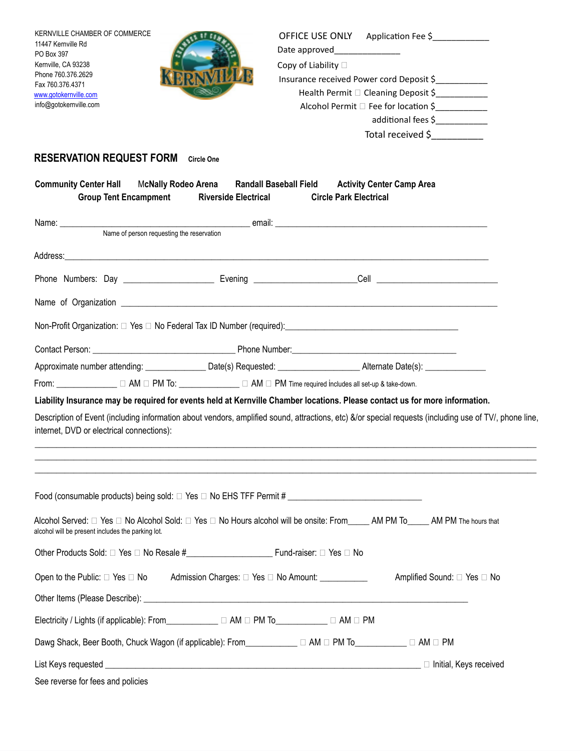| KERNVILLE CHAMBER OF COMMERCE<br>11447 Kernville Rd                                                                                                                                                                                                                                                                       |                             |                               | OFFICE USE ONLY Application Fee \$       |  |
|---------------------------------------------------------------------------------------------------------------------------------------------------------------------------------------------------------------------------------------------------------------------------------------------------------------------------|-----------------------------|-------------------------------|------------------------------------------|--|
| PO Box 397                                                                                                                                                                                                                                                                                                                |                             | Date approved________________ |                                          |  |
| Kernville, CA 93238<br>Phone 760.376.2629                                                                                                                                                                                                                                                                                 |                             | Copy of Liability $\square$   | Insurance received Power cord Deposit \$ |  |
| Fax 760.376.4371                                                                                                                                                                                                                                                                                                          |                             |                               | Health Permit □ Cleaning Deposit \$      |  |
| www.gotokernville.com<br>info@gotokernville.com                                                                                                                                                                                                                                                                           |                             |                               | Alcohol Permit □ Fee for location \$     |  |
|                                                                                                                                                                                                                                                                                                                           |                             |                               | additional fees \$                       |  |
|                                                                                                                                                                                                                                                                                                                           |                             |                               | Total received \$                        |  |
|                                                                                                                                                                                                                                                                                                                           |                             |                               |                                          |  |
| <b>RESERVATION REQUEST FORM</b>                                                                                                                                                                                                                                                                                           | <b>Circle One</b>           |                               |                                          |  |
| Community Center Hall McNally Rodeo Arena Randall Baseball Field Activity Center Camp Area<br><b>Group Tent Encampment</b>                                                                                                                                                                                                | <b>Riverside Electrical</b> | <b>Circle Park Electrical</b> |                                          |  |
|                                                                                                                                                                                                                                                                                                                           |                             |                               |                                          |  |
| Name of person requesting the reservation                                                                                                                                                                                                                                                                                 |                             |                               |                                          |  |
|                                                                                                                                                                                                                                                                                                                           |                             |                               |                                          |  |
|                                                                                                                                                                                                                                                                                                                           |                             |                               |                                          |  |
|                                                                                                                                                                                                                                                                                                                           |                             |                               |                                          |  |
|                                                                                                                                                                                                                                                                                                                           |                             |                               |                                          |  |
|                                                                                                                                                                                                                                                                                                                           |                             |                               |                                          |  |
|                                                                                                                                                                                                                                                                                                                           |                             |                               |                                          |  |
|                                                                                                                                                                                                                                                                                                                           |                             |                               |                                          |  |
| From: _____________ $\Box$ AM $\Box$ PM To: _____________ $\Box$ AM $\Box$ PM Time required includes all set-up & take-down.                                                                                                                                                                                              |                             |                               |                                          |  |
| Liability Insurance may be required for events held at Kernville Chamber locations. Please contact us for more information.                                                                                                                                                                                               |                             |                               |                                          |  |
| Description of Event (including information about vendors, amplified sound, attractions, etc) &/or special requests (including use of TV/, phone line,<br>internet, DVD or electrical connections):<br>,我们也不能会有什么?""我们的人,我们也不能会有什么?""我们的人,我们也不能会有什么?""我们的人,我们也不能会有什么?""我们的人,我们也不能会有什么?""                                  |                             |                               |                                          |  |
| ,我们也不能在这里的时候,我们也不能在这里的时候,我们也不能在这里的时候,我们也不能会在这里的时候,我们也不能会在这里的时候,我们也不能会在这里的时候,我们也不<br>Food (consumable products) being sold: □ Yes □ No EHS TFF Permit # ________________________________<br>Alcohol Served: □ Yes □ No Alcohol Sold: □ Yes □ No Hours alcohol will be onsite: From_____ AM PM To_____ AM PM The hours that |                             |                               |                                          |  |
| alcohol will be present includes the parking lot.                                                                                                                                                                                                                                                                         |                             |                               |                                          |  |
|                                                                                                                                                                                                                                                                                                                           |                             |                               |                                          |  |
| Open to the Public: □ Yes □ No Admission Charges: □ Yes □ No Amount: __________                                                                                                                                                                                                                                           |                             |                               | Amplified Sound: □ Yes □ No              |  |
|                                                                                                                                                                                                                                                                                                                           |                             |                               |                                          |  |
| Electricity / Lights (if applicable): From____________ □ AM □ PM To__________ □ AM □ PM                                                                                                                                                                                                                                   |                             |                               |                                          |  |
| Dawg Shack, Beer Booth, Chuck Wagon (if applicable): From____________ □ AM □ PM To__________ □ AM □ PM                                                                                                                                                                                                                    |                             |                               |                                          |  |
|                                                                                                                                                                                                                                                                                                                           |                             |                               |                                          |  |
| See reverse for fees and policies                                                                                                                                                                                                                                                                                         |                             |                               |                                          |  |